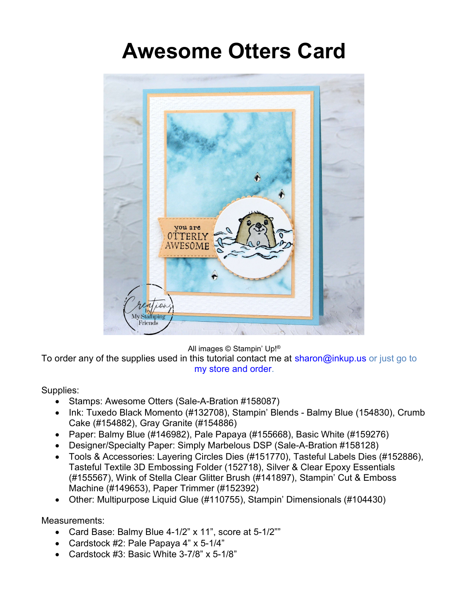## Awesome Otters Card



All images © Stampin' Up!®

To order any of the supplies used in this tutorial contact me at sharon@inkup.us or just go to my store and order.

## Supplies:

- Stamps: Awesome Otters (Sale-A-Bration #158087)
- Ink: Tuxedo Black Momento (#132708), Stampin' Blends Balmy Blue (154830), Crumb Cake (#154882), Gray Granite (#154886)
- Paper: Balmy Blue (#146982), Pale Papaya (#155668), Basic White (#159276)
- Designer/Specialty Paper: Simply Marbelous DSP (Sale-A-Bration #158128)
- Tools & Accessories: Layering Circles Dies (#151770), Tasteful Labels Dies (#152886), Tasteful Textile 3D Embossing Folder (152718), Silver & Clear Epoxy Essentials (#155567), Wink of Stella Clear Glitter Brush (#141897), Stampin' Cut & Emboss Machine (#149653), Paper Trimmer (#152392)
- Other: Multipurpose Liquid Glue (#110755), Stampin' Dimensionals (#104430)

Measurements:

- Card Base: Balmy Blue 4-1/2" x 11", score at 5-1/2""
- Cardstock #2: Pale Papaya 4" x 5-1/4"
- Cardstock #3: Basic White 3-7/8" x 5-1/8"